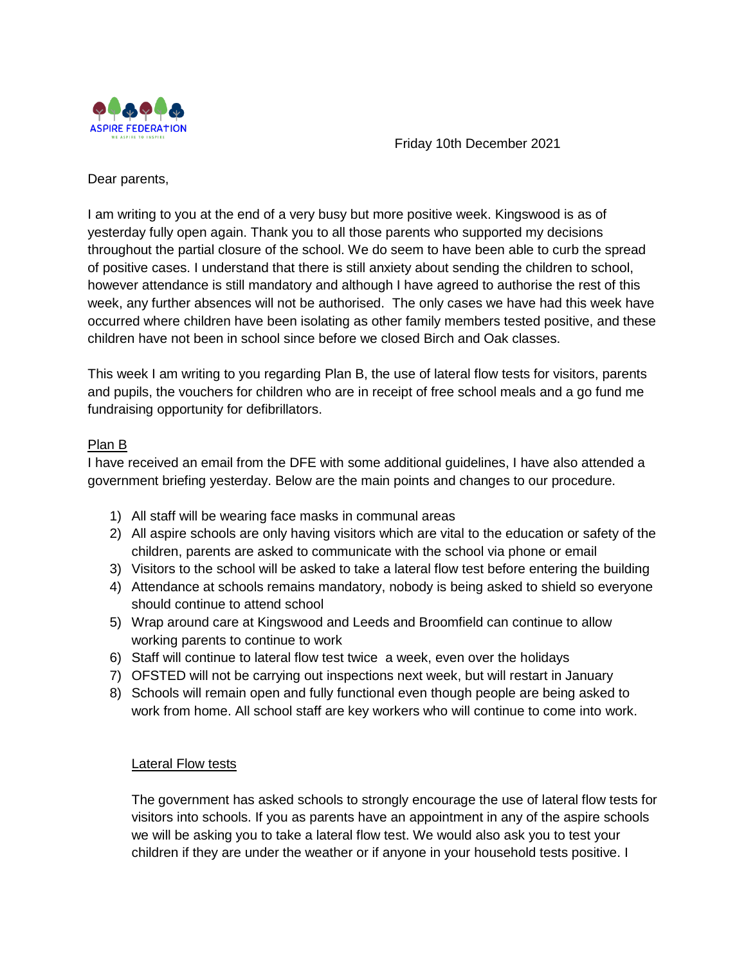

Friday 10th December 2021

Dear parents,

I am writing to you at the end of a very busy but more positive week. Kingswood is as of yesterday fully open again. Thank you to all those parents who supported my decisions throughout the partial closure of the school. We do seem to have been able to curb the spread of positive cases. I understand that there is still anxiety about sending the children to school, however attendance is still mandatory and although I have agreed to authorise the rest of this week, any further absences will not be authorised. The only cases we have had this week have occurred where children have been isolating as other family members tested positive, and these children have not been in school since before we closed Birch and Oak classes.

This week I am writing to you regarding Plan B, the use of lateral flow tests for visitors, parents and pupils, the vouchers for children who are in receipt of free school meals and a go fund me fundraising opportunity for defibrillators.

## Plan B

I have received an email from the DFE with some additional guidelines, I have also attended a government briefing yesterday. Below are the main points and changes to our procedure.

- 1) All staff will be wearing face masks in communal areas
- 2) All aspire schools are only having visitors which are vital to the education or safety of the children, parents are asked to communicate with the school via phone or email
- 3) Visitors to the school will be asked to take a lateral flow test before entering the building
- 4) Attendance at schools remains mandatory, nobody is being asked to shield so everyone should continue to attend school
- 5) Wrap around care at Kingswood and Leeds and Broomfield can continue to allow working parents to continue to work
- 6) Staff will continue to lateral flow test twice a week, even over the holidays
- 7) OFSTED will not be carrying out inspections next week, but will restart in January
- 8) Schools will remain open and fully functional even though people are being asked to work from home. All school staff are key workers who will continue to come into work.

### **Lateral Flow tests**

The government has asked schools to strongly encourage the use of lateral flow tests for visitors into schools. If you as parents have an appointment in any of the aspire schools we will be asking you to take a lateral flow test. We would also ask you to test your children if they are under the weather or if anyone in your household tests positive. I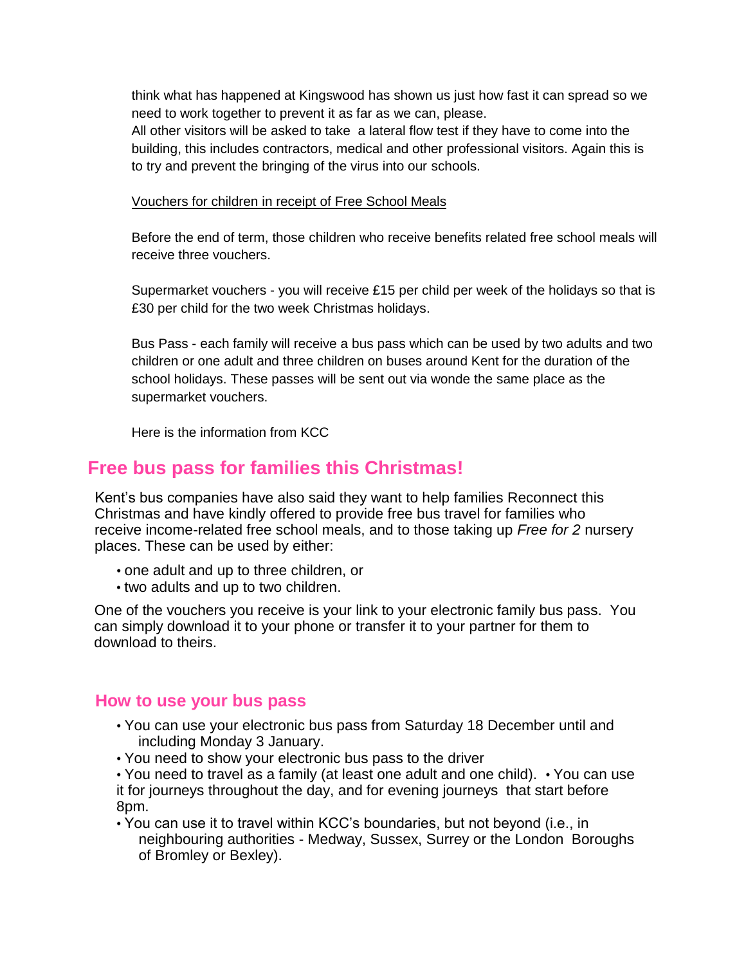think what has happened at Kingswood has shown us just how fast it can spread so we need to work together to prevent it as far as we can, please.

All other visitors will be asked to take a lateral flow test if they have to come into the building, this includes contractors, medical and other professional visitors. Again this is to try and prevent the bringing of the virus into our schools.

#### Vouchers for children in receipt of Free School Meals

Before the end of term, those children who receive benefits related free school meals will receive three vouchers.

Supermarket vouchers - you will receive  $£15$  per child per week of the holidays so that is £30 per child for the two week Christmas holidays.

Bus Pass - each family will receive a bus pass which can be used by two adults and two children or one adult and three children on buses around Kent for the duration of the school holidays. These passes will be sent out via wonde the same place as the supermarket vouchers.

Here is the information from KCC

# **Free bus pass for families this Christmas!**

Kent's bus companies have also said they want to help families Reconnect this Christmas and have kindly offered to provide free bus travel for families who receive income-related free school meals, and to those taking up *Free for 2* nursery places. These can be used by either:

- one adult and up to three children, or
- two adults and up to two children.

One of the vouchers you receive is your link to your electronic family bus pass. You can simply download it to your phone or transfer it to your partner for them to download to theirs.

### **How to use your bus pass**

- You can use your electronic bus pass from Saturday 18 December until and including Monday 3 January.
- You need to show your electronic bus pass to the driver

• You need to travel as a family (at least one adult and one child). • You can use it for journeys throughout the day, and for evening journeys that start before 8pm.

• You can use it to travel within KCC's boundaries, but not beyond (i.e., in neighbouring authorities - Medway, Sussex, Surrey or the London Boroughs of Bromley or Bexley).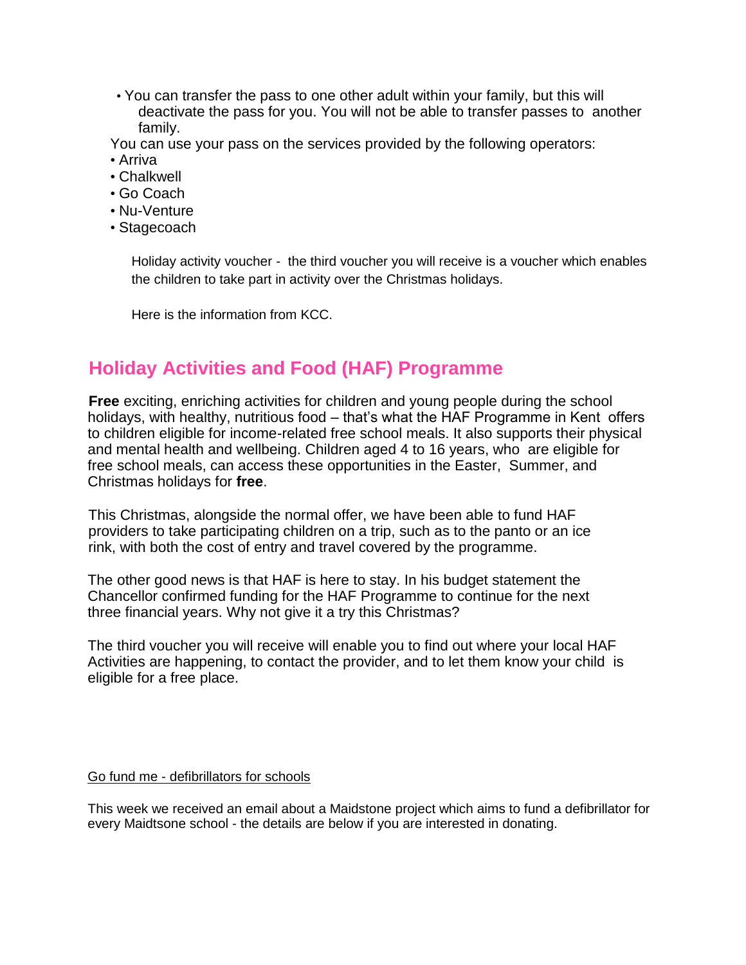• You can transfer the pass to one other adult within your family, but this will deactivate the pass for you. You will not be able to transfer passes to another family.

You can use your pass on the services provided by the following operators:

- Arriva
- Chalkwell
- Go Coach
- Nu-Venture
- Stagecoach

Holiday activity voucher - the third voucher you will receive is a voucher which enables the children to take part in activity over the Christmas holidays.

Here is the information from KCC.

# **Holiday Activities and Food (HAF) Programme**

**Free** exciting, enriching activities for children and young people during the school holidays, with healthy, nutritious food – that's what the HAF Programme in Kent offers to children eligible for income-related free school meals. It also supports their physical and mental health and wellbeing. Children aged 4 to 16 years, who are eligible for free school meals, can access these opportunities in the Easter, Summer, and Christmas holidays for **free**.

This Christmas, alongside the normal offer, we have been able to fund HAF providers to take participating children on a trip, such as to the panto or an ice rink, with both the cost of entry and travel covered by the programme.

The other good news is that HAF is here to stay. In his budget statement the Chancellor confirmed funding for the HAF Programme to continue for the next three financial years. Why not give it a try this Christmas?

The third voucher you will receive will enable you to find out where your local HAF Activities are happening, to contact the provider, and to let them know your child is eligible for a free place.

### Go fund me - defibrillators for schools

This week we received an email about a Maidstone project which aims to fund a defibrillator for every Maidtsone school - the details are below if you are interested in donating.